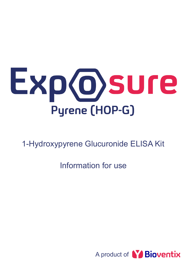

1-Hydroxypyrene Glucuronide ELISA Kit

Information for use

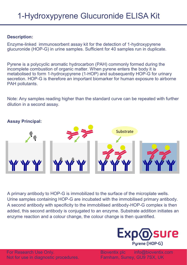# **Description:**

Enzyme-linked immunosorbent assay kit for the detection of 1-hydroxypyrene glucuronide (HOP-G) in urine samples. Sufficient for 40 samples run in duplicate.

Pyrene is a polycyclic aromatic hydrocarbon (PAH) commonly formed during the incomplete combustion of organic matter. When pyrene enters the body it is metabolised to form 1-hydroxypyrene (1-HOP) and subsequently HOP-G for urinary secretion. HOP-G is therefore an important biomarker for human exposure to airborne PAH pollutants.

Note: Any samples reading higher than the standard curve can be repeated with further dilution in a second assay.



## **Assay Principal:**

A primary antibody to HOP-G is immobilized to the surface of the microplate wells. Urine samples containing HOP-G are incubated with the immobilised primary antibody. A second antibody with specificity to the immobilised antibody-HOP-G complex is then added, this second antibody is conjugated to an enzyme. Substrate addition initiates an enzyme reaction and a colour change, the colour change is then quantified.



Bioventix plc info@bioventix.com Farnham, Surrey, GU9 7SX, UK

For Research Use Only. Not for use in diagnostic procedures.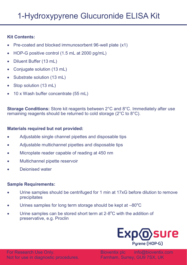# **Kit Contents:**

- Pre-coated and blocked immunosorbent 96-well plate (x1)
- HOP-G positive control (1.5 mL at 2000 pg/mL)
- Diluent Buffer (13 mL)
- Conjugate solution (13 mL)
- Substrate solution (13 mL)
- Stop solution (13 mL)
- 10 x Wash buffer concentrate (55 mL)

**Storage Conditions:** Store kit reagents between 2°C and 8°C. Immediately after use remaining reagents should be returned to cold storage (2°C to 8°C).

# **Materials required but not provided:**

- Adjustable single channel pipettes and disposable tips
- Adjustable multichannel pipettes and disposable tips
- Microplate reader capable of reading at 450 nm
- Multichannel pipette reservoir
- Deionised water

## **Sample Requirements:**

- Urine samples should be centrifuged for 1 min at 17xG before dilution to remove precipitates
- Urines samples for long term storage should be kept at  $-80^{\circ}$ C
- $\bullet$  Urine samples can be stored short term at 2-8 $^{\circ}$ C with the addition of preservative, e.g. Proclin



Bioventix plc info@bioventix.com Farnham, Surrey, GU9 7SX, UK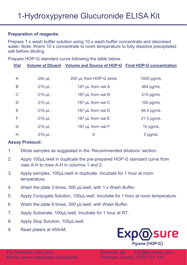#### **Preparation of reagents:**

Prepare 1 x wash buffer solution using 10 x wash buffer concentrate and deionised water. Note: Warm 10 x concentrate to room temperature to fully dissolve precipitated salt before diluting.

Prepare HOP-G standard curve following the table below.

| <b>Vial</b> |             | Volume of Diluent Volume and Source of HOP-G Final HOP-G concentration |              |
|-------------|-------------|------------------------------------------------------------------------|--------------|
|             |             |                                                                        |              |
| A           | $250 \mu L$ | 250 µL from HOP-G stock                                                | 1000 pg/mL   |
| B           | $215 \mu L$ | 187 µL from vial A                                                     | 464 pg/mL    |
| C           | $215 \mu L$ | 187 µL from vial B                                                     | $215$ pg/mL  |
| D           | $215 \mu L$ | 187 µL from vial C                                                     | $100$ pg/mL  |
| Е           | $215 \mu L$ | 187 µL from vial D                                                     | 46.4 pg/mL   |
| F           | $215$ µL    | 187 µL from vial E                                                     | $21.5$ pg/mL |
| G           | $215$ µL    | 187 µL from vial F                                                     | 10 $pg/mL$   |
| Н           | $215$ µL    | 0                                                                      | $0$ pg/mL    |

## **Assay Protocol:**

- 1. Dilute samples as suggested in the 'Recommended dilutions' section.
- 2. Apply 100µL/well in duplicate the pre-prepared HOP-G standard curve from vials A-H to rows A-H in columns 1 and 2.
- 3. Apply samples, 100µL/well in duplicate. Incubate for 1 hour at room temperature.
- 4. Wash the plate 3 times, 300 µL/well, with 1 x Wash Buffer.
- 5. Apply Conjugate Solution, 100µL/well. Incubate for 1 hour at room temperature.
- 6. Wash the plate 9 times, 300 µL/well, with Wash Buffer.
- 7. Apply Substrate, 100µL/well. Incubate for 1 hour at RT.
- 8. Apply Stop Solution, 100µL/well.
- 9. Read plate/s at 450nM.

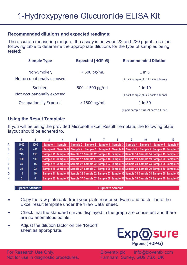#### **Recommended dilutions and expected readings:**

The accurate measuring range of the assay is between 22 and 220 pg/mL, use the following table to determine the appropriate dilutions for the type of samples being tested:

| <b>Sample Type</b>         | <b>Expected [HOP-G]</b> | <b>Recommended Dilution</b>           |  |  |  |
|----------------------------|-------------------------|---------------------------------------|--|--|--|
| Non-Smoker,                | $<$ 500 pg/mL           | $1$ in $3$                            |  |  |  |
| Not occupationally exposed |                         | (1 part sample plus 2 parts diluent)  |  |  |  |
| Smoker,                    | $500 - 1500$ pg/mL      | $1$ in $10$                           |  |  |  |
| Not occupationally exposed |                         | (1 part sample plus 9 parts diluent)  |  |  |  |
| Occupationally Exposed     | $>1500$ pg/mL           | 1 in 30                               |  |  |  |
|                            |                         | (1 part sample plus 29 parts diluent) |  |  |  |

#### **Using the Result Template:**

If you will be using the provided Microsoft Excel Result Template, the following plate layout should be adhered to.

| А  | 1000 | 1000         | Sample 1 |  |  |  |  | Sample 1 Sample 2 Sample 2 Sample 3 Sample 3 Sample 4 Sample 4 Sample 5 Sample 5                    |
|----|------|--------------|----------|--|--|--|--|-----------------------------------------------------------------------------------------------------|
| в  | 464  | 464          |          |  |  |  |  | Sample 6 Sample 6 Sample 7 Sample 7 Sample 8 Sample 8 Sample 9 Sample 9 Sample 10 Sample 10         |
| C. | 215  | 215          |          |  |  |  |  | Sample 11 Sample 11 Sample 12 Sample 12 Sample 13 Sample 13 Sample 14 Sample 14 Sample 15 Sample 15 |
| D  | 100  | 100          |          |  |  |  |  | Sample 16 Sample 16 Sample 17 Sample 17 Sample 18 Sample 18 Sample 19 Sample 19 Sample 20 Sample 20 |
| Е  | 46   | 46           |          |  |  |  |  | Sample 21 Sample 21 Sample 22 Sample 22 Sample 23 Sample 23 Sample 24 Sample 24 Sample 25 Sample 25 |
|    | 22   | 22           |          |  |  |  |  | Sample 26 Sample 26 Sample 27 Sample 27 Sample 28 Sample 28 Sample 29 Sample 29 Sample 30 Sample 30 |
| G  | 10   | 10           |          |  |  |  |  | Sample 31 Sample 31 Sample 32 Sample 32 Sample 33 Sample 33 Sample 34 Sample 34 Sample 35 Sample 35 |
| н  | 0    | $\mathbf{0}$ |          |  |  |  |  | Sample 36 Sample 36 Sample 37 Sample 37 Sample 38 Sample 38 Sample 39 Sample 39 Sample 40 Sample 40 |

#### Duplicate Standard

**Duplicate Samples** 

- Copy the raw plate data from your plate reader software and paste it into the Excel result template under the 'Raw Data' sheet.
- Check that the standard curves displayed in the graph are consistent and there are no anomalous points.
- Adjust the dilution factor on the 'Report' sheet as appropriate.